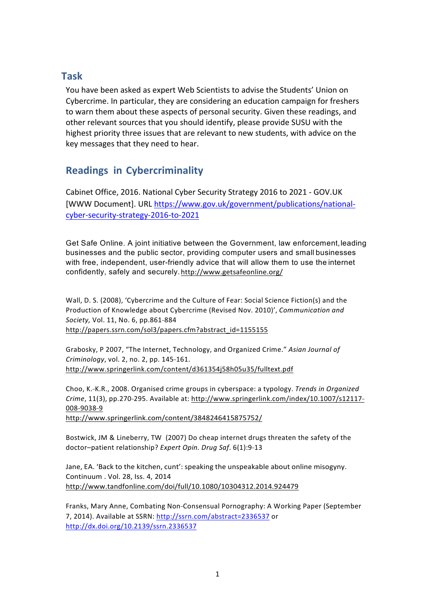## **Task**

You have been asked as expert Web Scientists to advise the Students' Union on Cybercrime. In particular, they are considering an education campaign for freshers to warn them about these aspects of personal security. Given these readings, and other relevant sources that you should identify, please provide SUSU with the highest priority three issues that are relevant to new students, with advice on the key messages that they need to hear.

## **Readings in Cybercriminality**

Cabinet Office, 2016. National Cyber Security Strategy 2016 to 2021 - GOV.UK [WWW Document]. URL https://www.gov.uk/government/publications/nationalcyber-security-strategy-2016-to-2021

Get Safe Online. A joint initiative between the Government, law enforcement, leading businesses and the public sector, providing computer users and small businesses with free, independent, user-friendly advice that will allow them to use the internet confidently, safely and securely.http://www.getsafeonline.org/

Wall, D. S. (2008), 'Cybercrime and the Culture of Fear: Social Science Fiction(s) and the Production of Knowledge about Cybercrime (Revised Nov. 2010)', *Communication and Society, Vol. 11, No. 6, pp.861-884* http://papers.ssrn.com/sol3/papers.cfm?abstract\_id=1155155

Grabosky, P 2007, "The Internet, Technology, and Organized Crime." *Asian Journal of Criminology, vol. 2, no. 2, pp. 145-161.* http://www.springerlink.com/content/d361354j58h05u35/fulltext.pdf

Choo, K.--K.R., 2008. Organised crime groups in cyberspace: a typology. *Trends in Organized Crime*, 11(3), pp.270-295. Available at: http://www.springerlink.com/index/10.1007/s12117-008-9038-9 http://www.springerlink.com/content/3848246415875752/

Bostwick, JM & Lineberry, TW (2007) Do cheap internet drugs threaten the safety of the doctor–patient relationship? *Expert Opin. Drug Saf*. 6(1):9---13

Jane, EA. 'Back to the kitchen, cunt': speaking the unspeakable about online misogyny. Continuum . Vol. 28, Iss. 4, 2014 http://www.tandfonline.com/doi/full/10.1080/10304312.2014.924479

Franks, Mary Anne, Combating Non-Consensual Pornography: A Working Paper (September 7, 2014). Available at SSRN: http://ssrn.com/abstract=2336537 or http://dx.doi.org/10.2139/ssrn.2336537